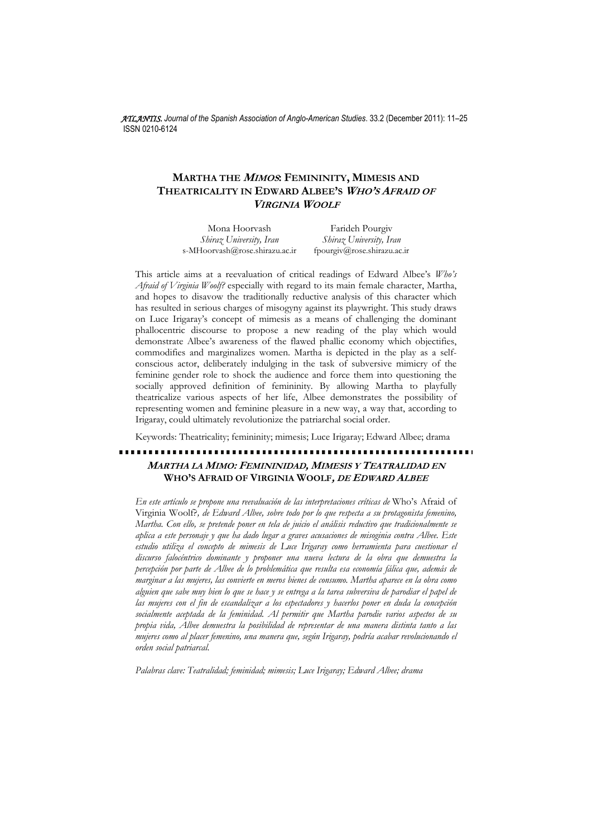*ATLANTIS. Journal of the Spanish Association of Anglo-American Studies*. 33.2 (December 2011): 11–25 ISSN 0210-6124

# **MARTHA THE <sup>M</sup>IMOS: FEMININITY, MIMESIS AND THEATRICALITY IN EDWARD ALBEE'S <sup>W</sup>HO'S AFRAID OF VIRGINIA WOOLF**

| Mona Hoorvash                  | Farideh Pourgiv             |
|--------------------------------|-----------------------------|
| Shiraz University, Iran        | Shiraz University, Iran     |
| s-MHoorvash@rose.shirazu.ac.ir | fpourgiv@rose.shirazu.ac.ir |

This article aims at a reevaluation of critical readings of Edward Albee's *Who's Afraid of Virginia Woolf?* especially with regard to its main female character, Martha, and hopes to disavow the traditionally reductive analysis of this character which has resulted in serious charges of misogyny against its playwright. This study draws on Luce Irigaray's concept of mimesis as a means of challenging the dominant phallocentric discourse to propose a new reading of the play which would demonstrate Albee's awareness of the flawed phallic economy which objectifies, commodifies and marginalizes women. Martha is depicted in the play as a selfconscious actor, deliberately indulging in the task of subversive mimicry of the feminine gender role to shock the audience and force them into questioning the socially approved definition of femininity. By allowing Martha to playfully theatricalize various aspects of her life, Albee demonstrates the possibility of representing women and feminine pleasure in a new way, a way that, according to Irigaray, could ultimately revolutionize the patriarchal social order.

Keywords: Theatricality; femininity; mimesis; Luce Irigaray; Edward Albee; drama

# **MARTHA LA MIMO: FEMININIDAD, MIMESIS Y TEATRALIDAD EN WHO'S AFRAID OF VIRGINIA WOOLF, DE EDWARD ALBEE**

*En este artículo se propone una reevaluación de las interpretaciones críticas de* Who's Afraid of Virginia Woolf?*, de Edward Albee, sobre todo por lo que respecta a su protagonista femenino, Martha. Con ello, se pretende poner en tela de juicio el análisis reductivo que tradicionalmente se aplica a este personaje y que ha dado lugar a graves acusaciones de misoginia contra Albee. Este estudio utiliza el concepto de mimesis de Luce Irigaray como herramienta para cuestionar el discurso falocéntrico dominante y proponer una nueva lectura de la obra que demuestra la percepción por parte de Albee de lo problemática que resulta esa economía fálica que, además de marginar a las mujeres, las convierte en meros bienes de consumo. Martha aparece en la obra como alguien que sabe muy bien lo que se hace y se entrega a la tarea subversiva de parodiar el papel de las mujeres con el fin de escandalizar a los espectadores y hacerlos poner en duda la concepción socialmente aceptada de la feminidad. Al permitir que Martha parodie varios aspectos de su propia vida, Albee demuestra la posibilidad de representar de una manera distinta tanto a las mujeres como al placer femenino, una manera que, según Irigaray, podría acabar revolucionando el orden social patriarcal.* 

*Palabras clave: Teatralidad; feminidad; mimesis; Luce Irigaray; Edward Albee; drama*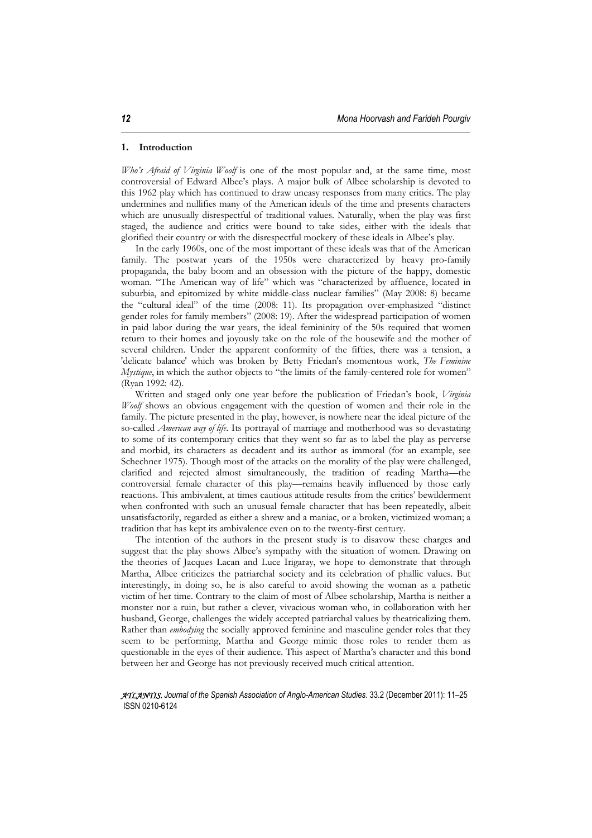#### **1. Introduction**

*Who's Afraid of Virginia Woolf* is one of the most popular and, at the same time, most controversial of Edward Albee's plays. A major bulk of Albee scholarship is devoted to this 1962 play which has continued to draw uneasy responses from many critics. The play undermines and nullifies many of the American ideals of the time and presents characters which are unusually disrespectful of traditional values. Naturally, when the play was first staged, the audience and critics were bound to take sides, either with the ideals that glorified their country or with the disrespectful mockery of these ideals in Albee's play.

In the early 1960s, one of the most important of these ideals was that of the American family. The postwar years of the 1950s were characterized by heavy pro-family propaganda, the baby boom and an obsession with the picture of the happy, domestic woman. "The American way of life" which was "characterized by affluence, located in suburbia, and epitomized by white middle-class nuclear families" (May 2008: 8) became the "cultural ideal" of the time (2008: 11). Its propagation over-emphasized "distinct gender roles for family members" (2008: 19). After the widespread participation of women in paid labor during the war years, the ideal femininity of the 50s required that women return to their homes and joyously take on the role of the housewife and the mother of several children. Under the apparent conformity of the fifties, there was a tension, a 'delicate balance' which was broken by Betty Friedan's momentous work, *The Feminine Mystique*, in which the author objects to "the limits of the family-centered role for women" (Ryan 1992: 42).

Written and staged only one year before the publication of Friedan's book, *Virginia Woolf* shows an obvious engagement with the question of women and their role in the family. The picture presented in the play, however, is nowhere near the ideal picture of the so-called *American way of life*. Its portrayal of marriage and motherhood was so devastating to some of its contemporary critics that they went so far as to label the play as perverse and morbid, its characters as decadent and its author as immoral (for an example, see Schechner 1975). Though most of the attacks on the morality of the play were challenged, clarified and rejected almost simultaneously, the tradition of reading Martha—the controversial female character of this play—remains heavily influenced by those early reactions. This ambivalent, at times cautious attitude results from the critics' bewilderment when confronted with such an unusual female character that has been repeatedly, albeit unsatisfactorily, regarded as either a shrew and a maniac, or a broken, victimized woman; a tradition that has kept its ambivalence even on to the twenty-first century.

The intention of the authors in the present study is to disavow these charges and suggest that the play shows Albee's sympathy with the situation of women. Drawing on the theories of Jacques Lacan and Luce Irigaray, we hope to demonstrate that through Martha, Albee criticizes the patriarchal society and its celebration of phallic values. But interestingly, in doing so, he is also careful to avoid showing the woman as a pathetic victim of her time. Contrary to the claim of most of Albee scholarship, Martha is neither a monster nor a ruin, but rather a clever, vivacious woman who, in collaboration with her husband, George, challenges the widely accepted patriarchal values by theatricalizing them. Rather than *embodying* the socially approved feminine and masculine gender roles that they seem to be performing, Martha and George mimic those roles to render them as questionable in the eyes of their audience. This aspect of Martha's character and this bond between her and George has not previously received much critical attention.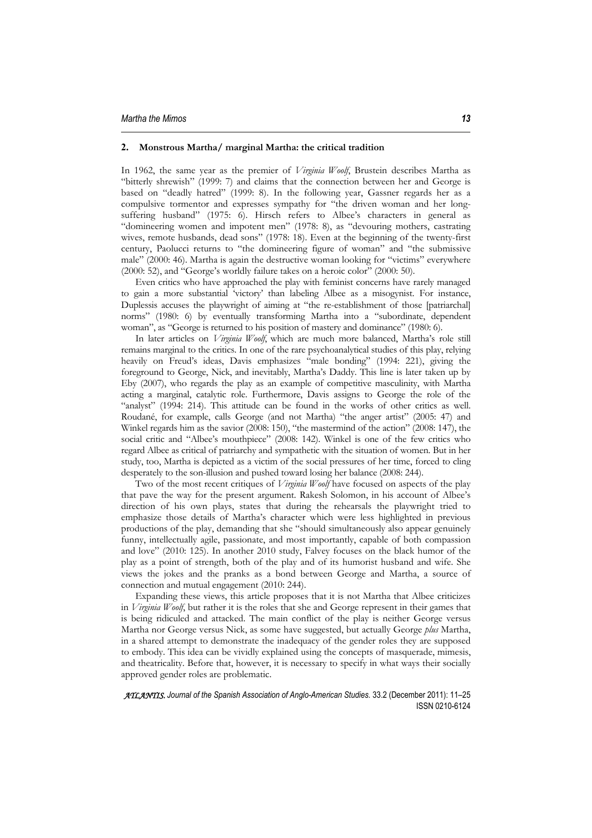## **2. Monstrous Martha/ marginal Martha: the critical tradition**

In 1962, the same year as the premier of *Virginia Woolf*, Brustein describes Martha as "bitterly shrewish" (1999: 7) and claims that the connection between her and George is based on "deadly hatred" (1999: 8). In the following year, Gassner regards her as a compulsive tormentor and expresses sympathy for "the driven woman and her longsuffering husband" (1975: 6). Hirsch refers to Albee's characters in general as "domineering women and impotent men" (1978: 8), as "devouring mothers, castrating wives, remote husbands, dead sons" (1978: 18). Even at the beginning of the twenty-first century, Paolucci returns to "the domineering figure of woman" and "the submissive male" (2000: 46). Martha is again the destructive woman looking for "victims" everywhere (2000: 52), and "George's worldly failure takes on a heroic color" (2000: 50).

Even critics who have approached the play with feminist concerns have rarely managed to gain a more substantial 'victory' than labeling Albee as a misogynist. For instance, Duplessis accuses the playwright of aiming at "the re-establishment of those [patriarchal] norms" (1980: 6) by eventually transforming Martha into a "subordinate, dependent woman", as "George is returned to his position of mastery and dominance" (1980: 6).

In later articles on *Virginia Woolf*, which are much more balanced, Martha's role still remains marginal to the critics. In one of the rare psychoanalytical studies of this play, relying heavily on Freud's ideas, Davis emphasizes "male bonding" (1994: 221), giving the foreground to George, Nick, and inevitably, Martha's Daddy. This line is later taken up by Eby (2007), who regards the play as an example of competitive masculinity, with Martha acting a marginal, catalytic role. Furthermore, Davis assigns to George the role of the "analyst" (1994: 214). This attitude can be found in the works of other critics as well. Roudané, for example, calls George (and not Martha) "the anger artist" (2005: 47) and Winkel regards him as the savior (2008: 150), "the mastermind of the action" (2008: 147), the social critic and "Albee's mouthpiece" (2008: 142). Winkel is one of the few critics who regard Albee as critical of patriarchy and sympathetic with the situation of women. But in her study, too, Martha is depicted as a victim of the social pressures of her time, forced to cling desperately to the son-illusion and pushed toward losing her balance (2008: 244).

Two of the most recent critiques of *Virginia Woolf* have focused on aspects of the play that pave the way for the present argument. Rakesh Solomon, in his account of Albee's direction of his own plays, states that during the rehearsals the playwright tried to emphasize those details of Martha's character which were less highlighted in previous productions of the play, demanding that she "should simultaneously also appear genuinely funny, intellectually agile, passionate, and most importantly, capable of both compassion and love" (2010: 125). In another 2010 study, Falvey focuses on the black humor of the play as a point of strength, both of the play and of its humorist husband and wife. She views the jokes and the pranks as a bond between George and Martha, a source of connection and mutual engagement (2010: 244).

Expanding these views, this article proposes that it is not Martha that Albee criticizes in *Virginia Woolf*, but rather it is the roles that she and George represent in their games that is being ridiculed and attacked. The main conflict of the play is neither George versus Martha nor George versus Nick, as some have suggested, but actually George *plus* Martha, in a shared attempt to demonstrate the inadequacy of the gender roles they are supposed to embody. This idea can be vividly explained using the concepts of masquerade, mimesis, and theatricality. Before that, however, it is necessary to specify in what ways their socially approved gender roles are problematic.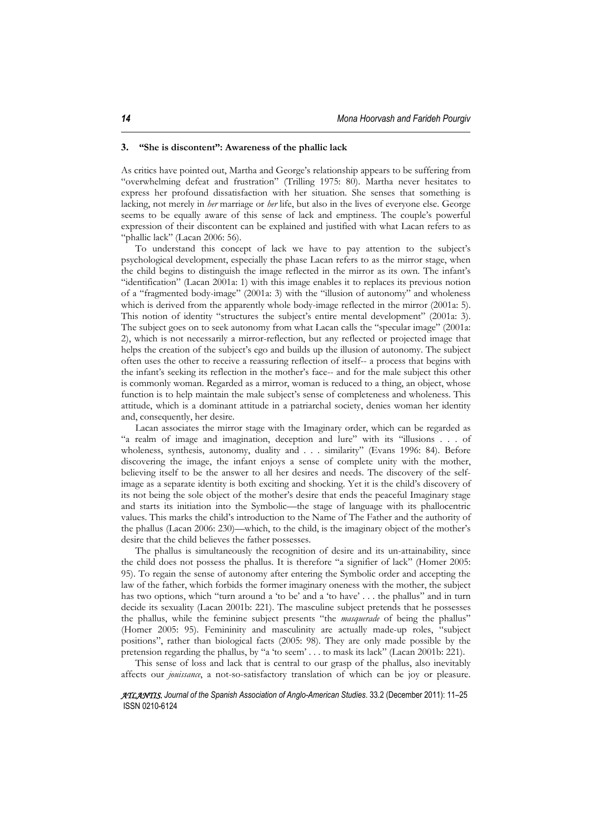#### **3. "She is discontent": Awareness of the phallic lack**

As critics have pointed out, Martha and George's relationship appears to be suffering from "overwhelming defeat and frustration" (Trilling 1975: 80). Martha never hesitates to express her profound dissatisfaction with her situation. She senses that something is lacking, not merely in *her* marriage or *her* life, but also in the lives of everyone else. George seems to be equally aware of this sense of lack and emptiness. The couple's powerful expression of their discontent can be explained and justified with what Lacan refers to as "phallic lack" (Lacan 2006: 56).

To understand this concept of lack we have to pay attention to the subject's psychological development, especially the phase Lacan refers to as the mirror stage, when the child begins to distinguish the image reflected in the mirror as its own. The infant's "identification" (Lacan 2001a: 1) with this image enables it to replaces its previous notion of a "fragmented body-image" (2001a: 3) with the "illusion of autonomy" and wholeness which is derived from the apparently whole body-image reflected in the mirror (2001a: 5). This notion of identity "structures the subject's entire mental development" (2001a: 3). The subject goes on to seek autonomy from what Lacan calls the "specular image" (2001a: 2), which is not necessarily a mirror-reflection, but any reflected or projected image that helps the creation of the subject's ego and builds up the illusion of autonomy. The subject often uses the other to receive a reassuring reflection of itself-- a process that begins with the infant's seeking its reflection in the mother's face-- and for the male subject this other is commonly woman. Regarded as a mirror, woman is reduced to a thing, an object, whose function is to help maintain the male subject's sense of completeness and wholeness. This attitude, which is a dominant attitude in a patriarchal society, denies woman her identity and, consequently, her desire.

Lacan associates the mirror stage with the Imaginary order, which can be regarded as "a realm of image and imagination, deception and lure" with its "illusions . . . of wholeness, synthesis, autonomy, duality and . . . similarity" (Evans 1996: 84). Before discovering the image, the infant enjoys a sense of complete unity with the mother, believing itself to be the answer to all her desires and needs. The discovery of the selfimage as a separate identity is both exciting and shocking. Yet it is the child's discovery of its not being the sole object of the mother's desire that ends the peaceful Imaginary stage and starts its initiation into the Symbolic—the stage of language with its phallocentric values. This marks the child's introduction to the Name of The Father and the authority of the phallus (Lacan 2006: 230)—which, to the child, is the imaginary object of the mother's desire that the child believes the father possesses.

The phallus is simultaneously the recognition of desire and its un-attainability, since the child does not possess the phallus. It is therefore "a signifier of lack" (Homer 2005: 95). To regain the sense of autonomy after entering the Symbolic order and accepting the law of the father, which forbids the former imaginary oneness with the mother, the subject has two options, which "turn around a 'to be' and a 'to have' . . . the phallus" and in turn decide its sexuality (Lacan 2001b: 221). The masculine subject pretends that he possesses the phallus, while the feminine subject presents "the *masquerade* of being the phallus" (Homer 2005: 95). Femininity and masculinity are actually made-up roles, "subject positions", rather than biological facts (2005: 98). They are only made possible by the pretension regarding the phallus, by "a 'to seem' . . . to mask its lack" (Lacan 2001b: 221).

This sense of loss and lack that is central to our grasp of the phallus, also inevitably affects our *jouissance*, a not-so-satisfactory translation of which can be joy or pleasure.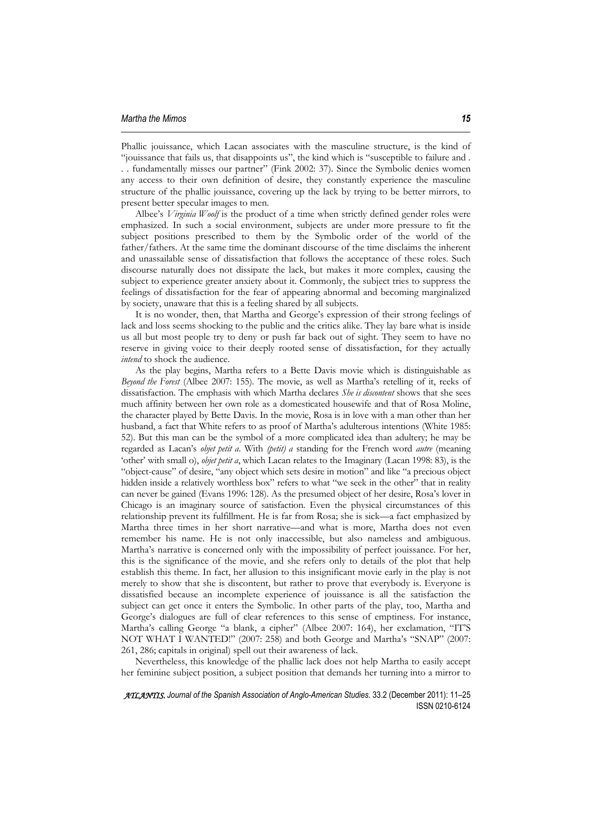Phallic jouissance, which Lacan associates with the masculine structure, is the kind of "jouissance that fails us, that disappoints us", the kind which is "susceptible to failure and . . . fundamentally misses our partner" (Fink 2002: 37). Since the Symbolic denies women any access to their own definition of desire, they constantly experience the masculine structure of the phallic jouissance, covering up the lack by trying to be better mirrors, to present better specular images to men.

Albee's *Virginia Woolf* is the product of a time when strictly defined gender roles were emphasized. In such a social environment, subjects are under more pressure to fit the subject positions prescribed to them by the Symbolic order of the world of the father/fathers. At the same time the dominant discourse of the time disclaims the inherent and unassailable sense of dissatisfaction that follows the acceptance of these roles. Such discourse naturally does not dissipate the lack, but makes it more complex, causing the subject to experience greater anxiety about it. Commonly, the subject tries to suppress the feelings of dissatisfaction for the fear of appearing abnormal and becoming marginalized by society, unaware that this is a feeling shared by all subjects.

It is no wonder, then, that Martha and George's expression of their strong feelings of lack and loss seems shocking to the public and the critics alike. They lay bare what is inside us all but most people try to deny or push far back out of sight. They seem to have no reserve in giving voice to their deeply rooted sense of dissatisfaction, for they actually *intend* to shock the audience.

As the play begins, Martha refers to a Bette Davis movie which is distinguishable as *Beyond the Forest* (Albee 2007: 155)*.* The movie, as well as Martha's retelling of it, reeks of dissatisfaction. The emphasis with which Martha declares *She is discontent* shows that she sees much affinity between her own role as a domesticated housewife and that of Rosa Moline, the character played by Bette Davis. In the movie, Rosa is in love with a man other than her husband, a fact that White refers to as proof of Martha's adulterous intentions (White 1985: 52). But this man can be the symbol of a more complicated idea than adultery; he may be regarded as Lacan's *objet petit a*. With *(petit) a* standing for the French word *autre* (meaning 'other' with small o), *objet petit a*, which Lacan relates to the Imaginary (Lacan 1998: 83), is the "object-cause" of desire, "any object which sets desire in motion" and like "a precious object hidden inside a relatively worthless box" refers to what "we seek in the other" that in reality can never be gained (Evans 1996: 128). As the presumed object of her desire, Rosa's lover in Chicago is an imaginary source of satisfaction. Even the physical circumstances of this relationship prevent its fulfillment. He is far from Rosa; she is sick—a fact emphasized by Martha three times in her short narrative—and what is more, Martha does not even remember his name. He is not only inaccessible, but also nameless and ambiguous. Martha's narrative is concerned only with the impossibility of perfect jouissance. For her, this is the significance of the movie, and she refers only to details of the plot that help establish this theme. In fact, her allusion to this insignificant movie early in the play is not merely to show that she is discontent, but rather to prove that everybody is. Everyone is dissatisfied because an incomplete experience of jouissance is all the satisfaction the subject can get once it enters the Symbolic. In other parts of the play, too, Martha and George's dialogues are full of clear references to this sense of emptiness. For instance, Martha's calling George "a blank, a cipher" (Albee 2007: 164), her exclamation, "IT'S NOT WHAT I WANTED!" (2007: 258) and both George and Martha's "SNAP" (2007: 261, 286; capitals in original) spell out their awareness of lack.

Nevertheless, this knowledge of the phallic lack does not help Martha to easily accept her feminine subject position, a subject position that demands her turning into a mirror to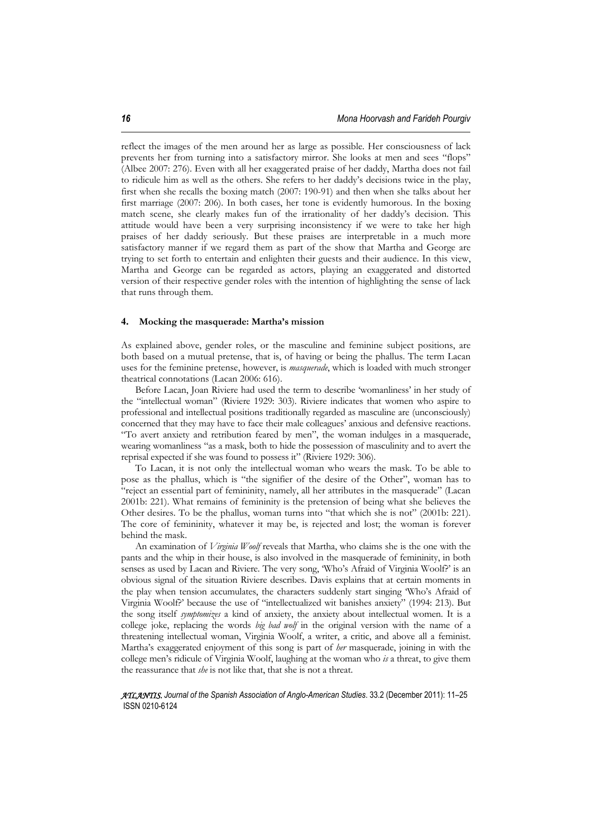reflect the images of the men around her as large as possible. Her consciousness of lack prevents her from turning into a satisfactory mirror. She looks at men and sees "flops" (Albee 2007: 276). Even with all her exaggerated praise of her daddy, Martha does not fail to ridicule him as well as the others. She refers to her daddy's decisions twice in the play, first when she recalls the boxing match (2007: 190-91) and then when she talks about her first marriage (2007: 206). In both cases, her tone is evidently humorous. In the boxing match scene, she clearly makes fun of the irrationality of her daddy's decision. This attitude would have been a very surprising inconsistency if we were to take her high praises of her daddy seriously. But these praises are interpretable in a much more satisfactory manner if we regard them as part of the show that Martha and George are trying to set forth to entertain and enlighten their guests and their audience. In this view, Martha and George can be regarded as actors, playing an exaggerated and distorted version of their respective gender roles with the intention of highlighting the sense of lack that runs through them.

#### **4. Mocking the masquerade: Martha's mission**

As explained above, gender roles, or the masculine and feminine subject positions, are both based on a mutual pretense, that is, of having or being the phallus. The term Lacan uses for the feminine pretense, however, is *masquerade*, which is loaded with much stronger theatrical connotations (Lacan 2006: 616).

Before Lacan, Joan Riviere had used the term to describe 'womanliness' in her study of the "intellectual woman" (Riviere 1929: 303). Riviere indicates that women who aspire to professional and intellectual positions traditionally regarded as masculine are (unconsciously) concerned that they may have to face their male colleagues' anxious and defensive reactions. "To avert anxiety and retribution feared by men", the woman indulges in a masquerade, wearing womanliness "as a mask, both to hide the possession of masculinity and to avert the reprisal expected if she was found to possess it" (Riviere 1929: 306).

To Lacan, it is not only the intellectual woman who wears the mask. To be able to pose as the phallus, which is "the signifier of the desire of the Other", woman has to "reject an essential part of femininity, namely, all her attributes in the masquerade" (Lacan 2001b: 221). What remains of femininity is the pretension of being what she believes the Other desires. To be the phallus, woman turns into "that which she is not" (2001b: 221). The core of femininity, whatever it may be, is rejected and lost; the woman is forever behind the mask.

An examination of *Virginia Woolf* reveals that Martha, who claims she is the one with the pants and the whip in their house, is also involved in the masquerade of femininity, in both senses as used by Lacan and Riviere. The very song, 'Who's Afraid of Virginia Woolf?' is an obvious signal of the situation Riviere describes. Davis explains that at certain moments in the play when tension accumulates, the characters suddenly start singing 'Who's Afraid of Virginia Woolf?' because the use of "intellectualized wit banishes anxiety" (1994: 213). But the song itself *symptomizes* a kind of anxiety, the anxiety about intellectual women. It is a college joke, replacing the words *big bad wolf* in the original version with the name of a threatening intellectual woman, Virginia Woolf, a writer, a critic, and above all a feminist. Martha's exaggerated enjoyment of this song is part of *her* masquerade, joining in with the college men's ridicule of Virginia Woolf, laughing at the woman who *is* a threat, to give them the reassurance that *she* is not like that, that she is not a threat.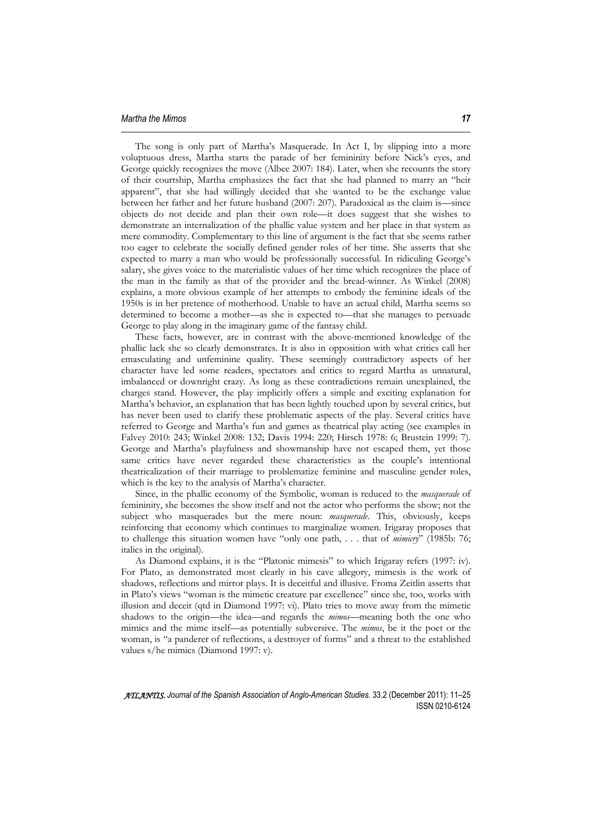The song is only part of Martha's Masquerade. In Act I, by slipping into a more voluptuous dress, Martha starts the parade of her femininity before Nick's eyes, and George quickly recognizes the move (Albee 2007: 184). Later, when she recounts the story of their courtship, Martha emphasizes the fact that she had planned to marry an "heir apparent", that she had willingly decided that she wanted to be the exchange value between her father and her future husband (2007: 207). Paradoxical as the claim is—since objects do not decide and plan their own role—it does suggest that she wishes to demonstrate an internalization of the phallic value system and her place in that system as mere commodity. Complementary to this line of argument is the fact that she seems rather too eager to celebrate the socially defined gender roles of her time. She asserts that she expected to marry a man who would be professionally successful. In ridiculing George's salary, she gives voice to the materialistic values of her time which recognizes the place of the man in the family as that of the provider and the bread-winner. As Winkel (2008) explains, a more obvious example of her attempts to embody the feminine ideals of the 1950s is in her pretence of motherhood. Unable to have an actual child, Martha seems so determined to become a mother—as she is expected to—that she manages to persuade George to play along in the imaginary game of the fantasy child.

These facts, however, are in contrast with the above-mentioned knowledge of the phallic lack she so clearly demonstrates. It is also in opposition with what critics call her emasculating and unfeminine quality. These seemingly contradictory aspects of her character have led some readers, spectators and critics to regard Martha as unnatural, imbalanced or downright crazy. As long as these contradictions remain unexplained, the charges stand. However, the play implicitly offers a simple and exciting explanation for Martha's behavior, an explanation that has been lightly touched upon by several critics, but has never been used to clarify these problematic aspects of the play. Several critics have referred to George and Martha's fun and games as theatrical play acting (see examples in Falvey 2010: 243; Winkel 2008: 132; Davis 1994: 220; Hirsch 1978: 6; Brustein 1999: 7). George and Martha's playfulness and showmanship have not escaped them, yet those same critics have never regarded these characteristics as the couple's intentional theatricalization of their marriage to problematize feminine and masculine gender roles, which is the key to the analysis of Martha's character.

Since, in the phallic economy of the Symbolic, woman is reduced to the *masquerade* of femininity, she becomes the show itself and not the actor who performs the show; not the subject who masquerades but the mere noun: *masquerade*. This, obviously, keeps reinforcing that economy which continues to marginalize women. Irigaray proposes that to challenge this situation women have "only one path, . . . that of *mimicry*" (1985b: 76; italics in the original).

As Diamond explains, it is the "Platonic mimesis" to which Irigaray refers (1997: iv). For Plato, as demonstrated most clearly in his cave allegory, mimesis is the work of shadows, reflections and mirror plays. It is deceitful and illusive. Froma Zeitlin asserts that in Plato's views "woman is the mimetic creature par excellence" since she, too, works with illusion and deceit (qtd in Diamond 1997: vi). Plato tries to move away from the mimetic shadows to the origin—the idea—and regards the *mimos*—meaning both the one who mimics and the mime itself—as potentially subversive. The *mimos*, be it the poet or the woman, is "a panderer of reflections, a destroyer of forms" and a threat to the established values s/he mimics (Diamond 1997: v).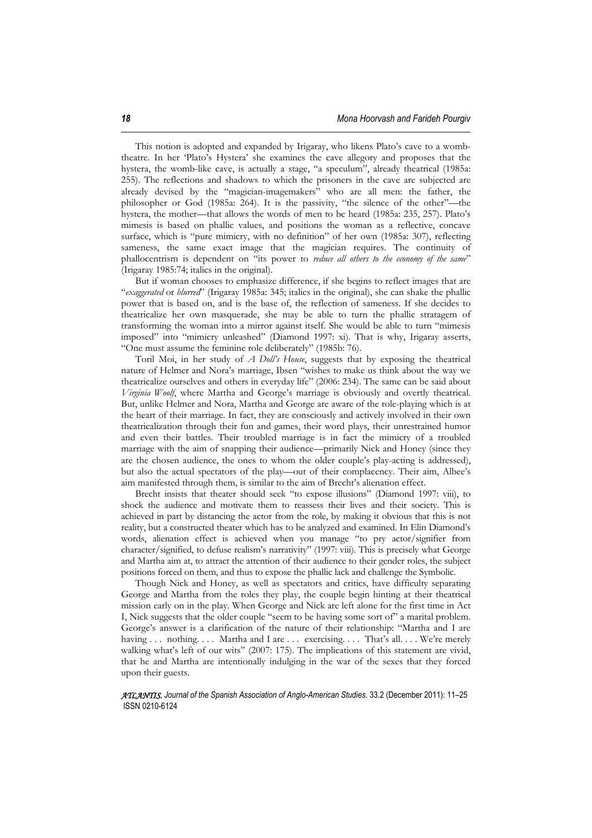This notion is adopted and expanded by Irigaray, who likens Plato's cave to a wombtheatre. In her 'Plato's Hystera' she examines the cave allegory and proposes that the hystera, the womb-like cave, is actually a stage, "a speculum", already theatrical (1985a: 255). The reflections and shadows to which the prisoners in the cave are subjected are already devised by the "magician-imagemakers" who are all men: the father, the philosopher or God (1985a: 264). It is the passivity, "the silence of the other"—the hystera, the mother—that allows the words of men to be heard (1985a: 235, 257). Plato's mimesis is based on phallic values, and positions the woman as a reflective, concave surface, which is "pure mimicry, with no definition" of her own (1985a: 307), reflecting sameness, the same exact image that the magician requires. The continuity of phallocentrism is dependent on "its power to *reduce all others to the economy of the same*" (Irigaray 1985:74; italics in the original).

But if woman chooses to emphasize difference, if she begins to reflect images that are "*exaggerated* or *blurred*" (Irigaray 1985a: 345; italics in the original), she can shake the phallic power that is based on, and is the base of, the reflection of sameness. If she decides to theatricalize her own masquerade, she may be able to turn the phallic stratagem of transforming the woman into a mirror against itself. She would be able to turn "mimesis imposed" into "mimicry unleashed" (Diamond 1997: xi). That is why, Irigaray asserts, "One must assume the feminine role deliberately" (1985b: 76).

Toril Moi, in her study of *A Doll's House*, suggests that by exposing the theatrical nature of Helmer and Nora's marriage, Ibsen "wishes to make us think about the way we theatricalize ourselves and others in everyday life" (2006: 234). The same can be said about *Virginia Woolf*, where Martha and George's marriage is obviously and overtly theatrical. But, unlike Helmer and Nora, Martha and George are aware of the role-playing which is at the heart of their marriage. In fact, they are consciously and actively involved in their own theatricalization through their fun and games, their word plays, their unrestrained humor and even their battles. Their troubled marriage is in fact the mimicry of a troubled marriage with the aim of snapping their audience—primarily Nick and Honey (since they are the chosen audience, the ones to whom the older couple's play-acting is addressed), but also the actual spectators of the play—out of their complacency. Their aim, Albee's aim manifested through them, is similar to the aim of Brecht's alienation effect.

Brecht insists that theater should seek "to expose illusions" (Diamond 1997: viii), to shock the audience and motivate them to reassess their lives and their society. This is achieved in part by distancing the actor from the role, by making it obvious that this is not reality, but a constructed theater which has to be analyzed and examined. In Elin Diamond's words, alienation effect is achieved when you manage "to pry actor/signifier from character/signified, to defuse realism's narrativity" (1997: viii). This is precisely what George and Martha aim at, to attract the attention of their audience to their gender roles, the subject positions forced on them, and thus to expose the phallic lack and challenge the Symbolic.

Though Nick and Honey, as well as spectators and critics, have difficulty separating George and Martha from the roles they play, the couple begin hinting at their theatrical mission early on in the play. When George and Nick are left alone for the first time in Act I, Nick suggests that the older couple "seem to be having some sort of" a marital problem. George's answer is a clarification of the nature of their relationship: "Martha and I are having . . . nothing . . . Martha and I are . . . exercising . . . That's all. . . . We're merely walking what's left of our wits" (2007: 175). The implications of this statement are vivid, that he and Martha are intentionally indulging in the war of the sexes that they forced upon their guests.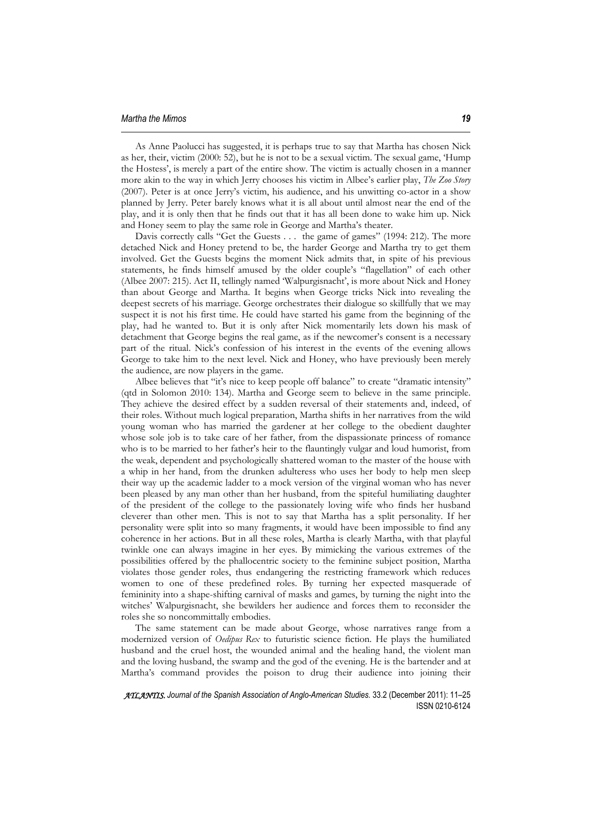As Anne Paolucci has suggested, it is perhaps true to say that Martha has chosen Nick as her, their, victim (2000: 52), but he is not to be a sexual victim. The sexual game, 'Hump the Hostess', is merely a part of the entire show. The victim is actually chosen in a manner more akin to the way in which Jerry chooses his victim in Albee's earlier play, *The Zoo Story*  (2007). Peter is at once Jerry's victim, his audience, and his unwitting co-actor in a show planned by Jerry. Peter barely knows what it is all about until almost near the end of the play, and it is only then that he finds out that it has all been done to wake him up. Nick and Honey seem to play the same role in George and Martha's theater.

Davis correctly calls "Get the Guests . . . the game of games" (1994: 212). The more detached Nick and Honey pretend to be, the harder George and Martha try to get them involved. Get the Guests begins the moment Nick admits that, in spite of his previous statements, he finds himself amused by the older couple's "flagellation" of each other (Albee 2007: 215). Act II, tellingly named 'Walpurgisnacht', is more about Nick and Honey than about George and Martha. It begins when George tricks Nick into revealing the deepest secrets of his marriage. George orchestrates their dialogue so skillfully that we may suspect it is not his first time. He could have started his game from the beginning of the play, had he wanted to. But it is only after Nick momentarily lets down his mask of detachment that George begins the real game, as if the newcomer's consent is a necessary part of the ritual. Nick's confession of his interest in the events of the evening allows George to take him to the next level. Nick and Honey, who have previously been merely the audience, are now players in the game.

Albee believes that "it's nice to keep people off balance" to create "dramatic intensity" (qtd in Solomon 2010: 134). Martha and George seem to believe in the same principle. They achieve the desired effect by a sudden reversal of their statements and, indeed, of their roles. Without much logical preparation, Martha shifts in her narratives from the wild young woman who has married the gardener at her college to the obedient daughter whose sole job is to take care of her father, from the dispassionate princess of romance who is to be married to her father's heir to the flauntingly vulgar and loud humorist, from the weak, dependent and psychologically shattered woman to the master of the house with a whip in her hand, from the drunken adulteress who uses her body to help men sleep their way up the academic ladder to a mock version of the virginal woman who has never been pleased by any man other than her husband, from the spiteful humiliating daughter of the president of the college to the passionately loving wife who finds her husband cleverer than other men. This is not to say that Martha has a split personality. If her personality were split into so many fragments, it would have been impossible to find any coherence in her actions. But in all these roles, Martha is clearly Martha, with that playful twinkle one can always imagine in her eyes. By mimicking the various extremes of the possibilities offered by the phallocentric society to the feminine subject position, Martha violates those gender roles, thus endangering the restricting framework which reduces women to one of these predefined roles. By turning her expected masquerade of femininity into a shape-shifting carnival of masks and games, by turning the night into the witches' Walpurgisnacht, she bewilders her audience and forces them to reconsider the roles she so noncommittally embodies.

The same statement can be made about George, whose narratives range from a modernized version of *Oedipus Rex* to futuristic science fiction. He plays the humiliated husband and the cruel host, the wounded animal and the healing hand, the violent man and the loving husband, the swamp and the god of the evening. He is the bartender and at Martha's command provides the poison to drug their audience into joining their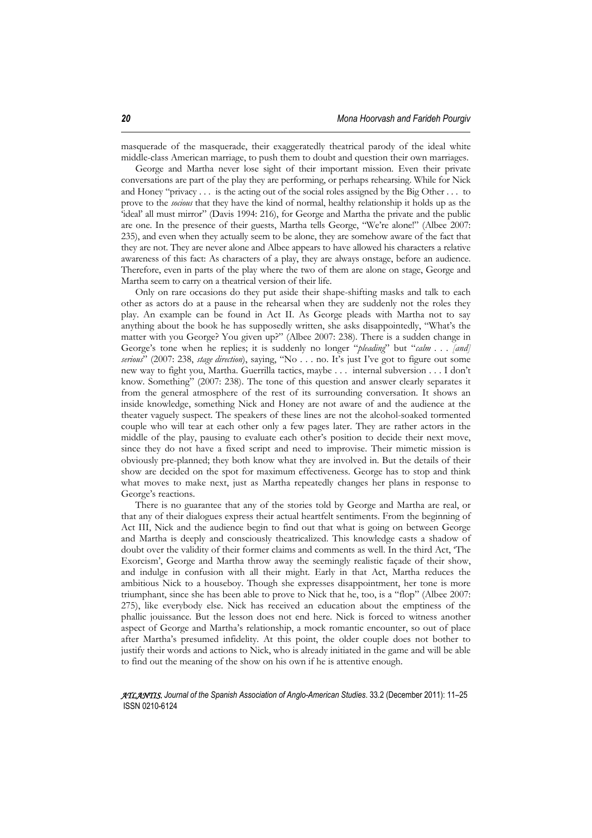masquerade of the masquerade, their exaggeratedly theatrical parody of the ideal white middle-class American marriage, to push them to doubt and question their own marriages.

George and Martha never lose sight of their important mission. Even their private conversations are part of the play they are performing, or perhaps rehearsing. While for Nick and Honey "privacy . . . is the acting out of the social roles assigned by the Big Other . . . to prove to the *socious* that they have the kind of normal, healthy relationship it holds up as the 'ideal' all must mirror" (Davis 1994: 216), for George and Martha the private and the public are one. In the presence of their guests, Martha tells George, "We're alone!" (Albee 2007: 235), and even when they actually seem to be alone, they are somehow aware of the fact that they are not. They are never alone and Albee appears to have allowed his characters a relative awareness of this fact: As characters of a play, they are always onstage, before an audience. Therefore, even in parts of the play where the two of them are alone on stage, George and Martha seem to carry on a theatrical version of their life.

Only on rare occasions do they put aside their shape-shifting masks and talk to each other as actors do at a pause in the rehearsal when they are suddenly not the roles they play. An example can be found in Act II. As George pleads with Martha not to say anything about the book he has supposedly written, she asks disappointedly, "What's the matter with you George? You given up?" (Albee 2007: 238). There is a sudden change in George's tone when he replies; it is suddenly no longer "*pleading*" but "*calm . . . [and] serious*" (2007: 238, *stage direction*), saying, "No . . . no. It's just I've got to figure out some new way to fight you, Martha. Guerrilla tactics, maybe . . . internal subversion . . . I don't know. Something" (2007: 238). The tone of this question and answer clearly separates it from the general atmosphere of the rest of its surrounding conversation. It shows an inside knowledge, something Nick and Honey are not aware of and the audience at the theater vaguely suspect. The speakers of these lines are not the alcohol-soaked tormented couple who will tear at each other only a few pages later. They are rather actors in the middle of the play, pausing to evaluate each other's position to decide their next move, since they do not have a fixed script and need to improvise. Their mimetic mission is obviously pre-planned; they both know what they are involved in. But the details of their show are decided on the spot for maximum effectiveness. George has to stop and think what moves to make next, just as Martha repeatedly changes her plans in response to George's reactions.

There is no guarantee that any of the stories told by George and Martha are real, or that any of their dialogues express their actual heartfelt sentiments. From the beginning of Act III, Nick and the audience begin to find out that what is going on between George and Martha is deeply and consciously theatricalized. This knowledge casts a shadow of doubt over the validity of their former claims and comments as well. In the third Act, 'The Exorcism', George and Martha throw away the seemingly realistic façade of their show, and indulge in confusion with all their might. Early in that Act, Martha reduces the ambitious Nick to a houseboy. Though she expresses disappointment, her tone is more triumphant, since she has been able to prove to Nick that he, too, is a "flop" (Albee 2007: 275), like everybody else. Nick has received an education about the emptiness of the phallic jouissance. But the lesson does not end here. Nick is forced to witness another aspect of George and Martha's relationship, a mock romantic encounter, so out of place after Martha's presumed infidelity. At this point, the older couple does not bother to justify their words and actions to Nick, who is already initiated in the game and will be able to find out the meaning of the show on his own if he is attentive enough.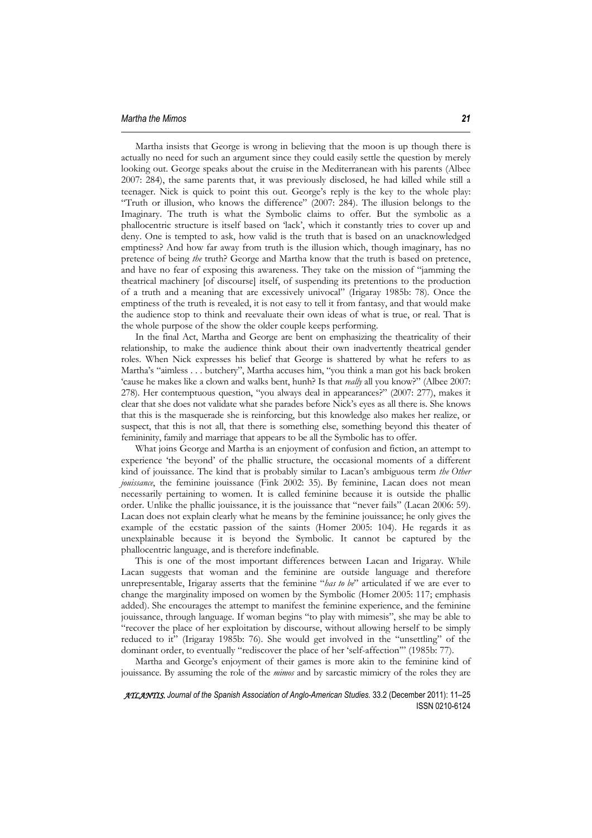Martha insists that George is wrong in believing that the moon is up though there is actually no need for such an argument since they could easily settle the question by merely looking out. George speaks about the cruise in the Mediterranean with his parents (Albee 2007: 284), the same parents that, it was previously disclosed, he had killed while still a teenager. Nick is quick to point this out. George's reply is the key to the whole play: "Truth or illusion, who knows the difference" (2007: 284). The illusion belongs to the Imaginary. The truth is what the Symbolic claims to offer. But the symbolic as a phallocentric structure is itself based on 'lack', which it constantly tries to cover up and deny. One is tempted to ask, how valid is the truth that is based on an unacknowledged emptiness? And how far away from truth is the illusion which, though imaginary, has no pretence of being *the* truth? George and Martha know that the truth is based on pretence, and have no fear of exposing this awareness. They take on the mission of "jamming the theatrical machinery [of discourse] itself, of suspending its pretentions to the production of a truth and a meaning that are excessively univocal" (Irigaray 1985b: 78). Once the emptiness of the truth is revealed, it is not easy to tell it from fantasy, and that would make the audience stop to think and reevaluate their own ideas of what is true, or real. That is the whole purpose of the show the older couple keeps performing.

In the final Act, Martha and George are bent on emphasizing the theatricality of their relationship, to make the audience think about their own inadvertently theatrical gender roles. When Nick expresses his belief that George is shattered by what he refers to as Martha's "aimless . . . butchery", Martha accuses him, "you think a man got his back broken 'cause he makes like a clown and walks bent, hunh? Is that *really* all you know?" (Albee 2007: 278). Her contemptuous question, "you always deal in appearances?" (2007: 277), makes it clear that she does not validate what she parades before Nick's eyes as all there is. She knows that this is the masquerade she is reinforcing, but this knowledge also makes her realize, or suspect, that this is not all, that there is something else, something beyond this theater of femininity, family and marriage that appears to be all the Symbolic has to offer.

What joins George and Martha is an enjoyment of confusion and fiction, an attempt to experience 'the beyond' of the phallic structure, the occasional moments of a different kind of jouissance. The kind that is probably similar to Lacan's ambiguous term *the Other jouissance*, the feminine jouissance (Fink 2002: 35). By feminine, Lacan does not mean necessarily pertaining to women. It is called feminine because it is outside the phallic order. Unlike the phallic jouissance, it is the jouissance that "never fails" (Lacan 2006: 59). Lacan does not explain clearly what he means by the feminine jouissance; he only gives the example of the ecstatic passion of the saints (Homer 2005: 104). He regards it as unexplainable because it is beyond the Symbolic. It cannot be captured by the phallocentric language, and is therefore indefinable.

This is one of the most important differences between Lacan and Irigaray. While Lacan suggests that woman and the feminine are outside language and therefore unrepresentable, Irigaray asserts that the feminine "*has to be*" articulated if we are ever to change the marginality imposed on women by the Symbolic (Homer 2005: 117; emphasis added). She encourages the attempt to manifest the feminine experience, and the feminine jouissance, through language. If woman begins "to play with mimesis", she may be able to "recover the place of her exploitation by discourse, without allowing herself to be simply reduced to it" (Irigaray 1985b: 76). She would get involved in the "unsettling" of the dominant order, to eventually "rediscover the place of her 'self-affection'" (1985b: 77).

Martha and George's enjoyment of their games is more akin to the feminine kind of jouissance. By assuming the role of the *mimos* and by sarcastic mimicry of the roles they are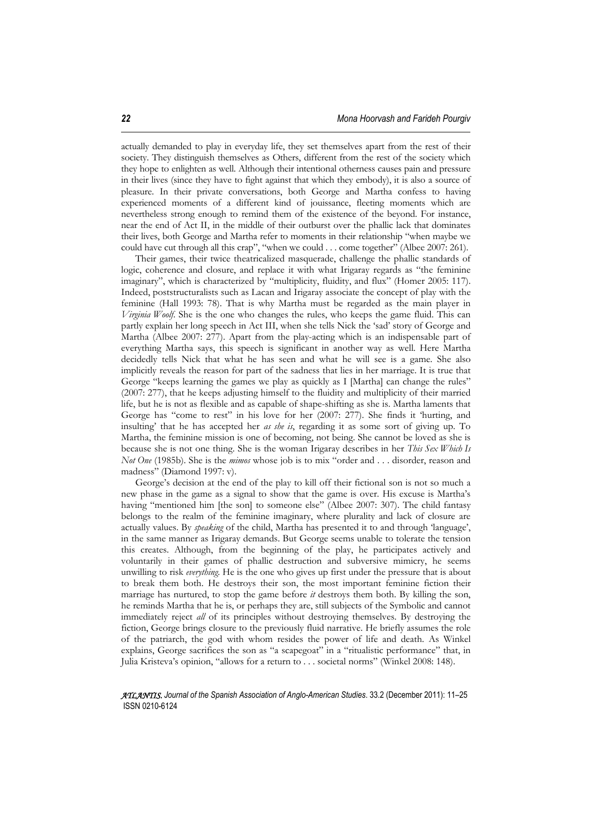actually demanded to play in everyday life, they set themselves apart from the rest of their society. They distinguish themselves as Others, different from the rest of the society which they hope to enlighten as well. Although their intentional otherness causes pain and pressure in their lives (since they have to fight against that which they embody), it is also a source of pleasure. In their private conversations, both George and Martha confess to having experienced moments of a different kind of jouissance, fleeting moments which are nevertheless strong enough to remind them of the existence of the beyond. For instance, near the end of Act II, in the middle of their outburst over the phallic lack that dominates their lives, both George and Martha refer to moments in their relationship "when maybe we could have cut through all this crap", "when we could . . . come together" (Albee 2007: 261).

Their games, their twice theatricalized masquerade, challenge the phallic standards of logic, coherence and closure, and replace it with what Irigaray regards as "the feminine imaginary", which is characterized by "multiplicity, fluidity, and flux" (Homer 2005: 117). Indeed, poststructuralists such as Lacan and Irigaray associate the concept of play with the feminine (Hall 1993: 78). That is why Martha must be regarded as the main player in *Virginia Woolf*. She is the one who changes the rules, who keeps the game fluid. This can partly explain her long speech in Act III, when she tells Nick the 'sad' story of George and Martha (Albee 2007: 277). Apart from the play-acting which is an indispensable part of everything Martha says, this speech is significant in another way as well. Here Martha decidedly tells Nick that what he has seen and what he will see is a game. She also implicitly reveals the reason for part of the sadness that lies in her marriage. It is true that George "keeps learning the games we play as quickly as I [Martha] can change the rules" (2007: 277), that he keeps adjusting himself to the fluidity and multiplicity of their married life, but he is not as flexible and as capable of shape-shifting as she is. Martha laments that George has "come to rest" in his love for her (2007: 277). She finds it 'hurting, and insulting' that he has accepted her *as she is*, regarding it as some sort of giving up. To Martha, the feminine mission is one of becoming, not being. She cannot be loved as she is because she is not one thing. She is the woman Irigaray describes in her *This Sex Which Is Not One* (1985b). She is the *mimos* whose job is to mix "order and . . . disorder, reason and madness" (Diamond 1997: v).

George's decision at the end of the play to kill off their fictional son is not so much a new phase in the game as a signal to show that the game is over. His excuse is Martha's having "mentioned him [the son] to someone else" (Albee 2007: 307). The child fantasy belongs to the realm of the feminine imaginary, where plurality and lack of closure are actually values. By *speaking* of the child, Martha has presented it to and through 'language', in the same manner as Irigaray demands. But George seems unable to tolerate the tension this creates. Although, from the beginning of the play, he participates actively and voluntarily in their games of phallic destruction and subversive mimicry, he seems unwilling to risk *everything*. He is the one who gives up first under the pressure that is about to break them both. He destroys their son, the most important feminine fiction their marriage has nurtured, to stop the game before *it* destroys them both. By killing the son, he reminds Martha that he is, or perhaps they are, still subjects of the Symbolic and cannot immediately reject *all* of its principles without destroying themselves. By destroying the fiction, George brings closure to the previously fluid narrative. He briefly assumes the role of the patriarch, the god with whom resides the power of life and death. As Winkel explains, George sacrifices the son as "a scapegoat" in a "ritualistic performance" that, in Julia Kristeva's opinion, "allows for a return to . . . societal norms" (Winkel 2008: 148).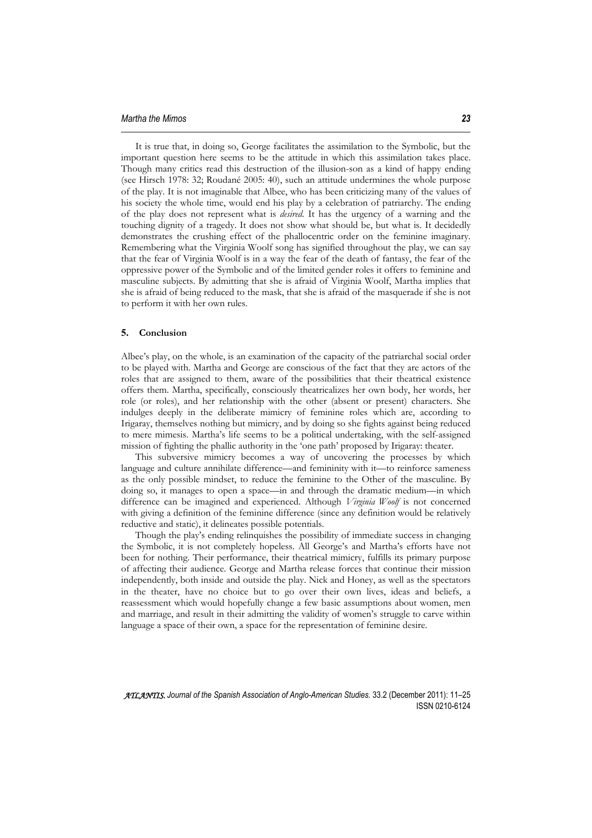It is true that, in doing so, George facilitates the assimilation to the Symbolic, but the important question here seems to be the attitude in which this assimilation takes place. Though many critics read this destruction of the illusion-son as a kind of happy ending (see Hirsch 1978: 32; Roudané 2005: 40), such an attitude undermines the whole purpose of the play. It is not imaginable that Albee, who has been criticizing many of the values of his society the whole time, would end his play by a celebration of patriarchy. The ending of the play does not represent what is *desired*. It has the urgency of a warning and the touching dignity of a tragedy. It does not show what should be, but what is. It decidedly demonstrates the crushing effect of the phallocentric order on the feminine imaginary. Remembering what the Virginia Woolf song has signified throughout the play, we can say that the fear of Virginia Woolf is in a way the fear of the death of fantasy, the fear of the oppressive power of the Symbolic and of the limited gender roles it offers to feminine and masculine subjects. By admitting that she is afraid of Virginia Woolf, Martha implies that she is afraid of being reduced to the mask, that she is afraid of the masquerade if she is not to perform it with her own rules.

# **5. Conclusion**

Albee's play, on the whole, is an examination of the capacity of the patriarchal social order to be played with. Martha and George are conscious of the fact that they are actors of the roles that are assigned to them, aware of the possibilities that their theatrical existence offers them. Martha, specifically, consciously theatricalizes her own body, her words, her role (or roles), and her relationship with the other (absent or present) characters. She indulges deeply in the deliberate mimicry of feminine roles which are, according to Irigaray, themselves nothing but mimicry, and by doing so she fights against being reduced to mere mimesis. Martha's life seems to be a political undertaking, with the self-assigned mission of fighting the phallic authority in the 'one path' proposed by Irigaray: theater.

This subversive mimicry becomes a way of uncovering the processes by which language and culture annihilate difference—and femininity with it—to reinforce sameness as the only possible mindset, to reduce the feminine to the Other of the masculine. By doing so, it manages to open a space—in and through the dramatic medium—in which difference can be imagined and experienced. Although *Virginia Woolf* is not concerned with giving a definition of the feminine difference (since any definition would be relatively reductive and static), it delineates possible potentials.

Though the play's ending relinquishes the possibility of immediate success in changing the Symbolic, it is not completely hopeless. All George's and Martha's efforts have not been for nothing. Their performance, their theatrical mimicry, fulfills its primary purpose of affecting their audience. George and Martha release forces that continue their mission independently, both inside and outside the play. Nick and Honey, as well as the spectators in the theater, have no choice but to go over their own lives, ideas and beliefs, a reassessment which would hopefully change a few basic assumptions about women, men and marriage, and result in their admitting the validity of women's struggle to carve within language a space of their own, a space for the representation of feminine desire.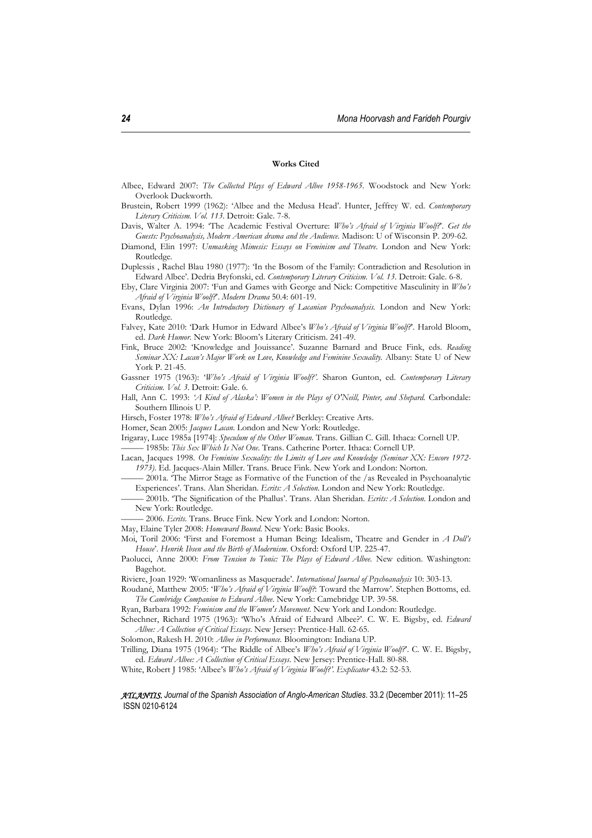#### **Works Cited**

- Albee, Edward 2007: *The Collected Plays of Edward Albee 1958-1965.* Woodstock and New York: Overlook Duckworth.
- Brustein, Robert 1999 (1962): 'Albee and the Medusa Head'. Hunter, Jeffrey W. ed. *Contemporary Literary Criticism. Vol. 113*. Detroit: Gale. 7-8.
- Davis, Walter A. 1994: 'The Academic Festival Overture: *Who's Afraid of Virginia Woolf?*'. *Get the Guests: Psychoanalysis, Modern American drama and the Audience.* Madison: U of Wisconsin P. 209-62.
- Diamond, Elin 1997: *Unmasking Mimesis: Essays on Feminism and Theatre*. London and New York: Routledge.
- Duplessis , Rachel Blau 1980 (1977): 'In the Bosom of the Family: Contradiction and Resolution in Edward Albee'. Dedria Bryfonski, ed. *Contemporary Literary Criticism. Vol. 13*. Detroit: Gale. 6-8.
- Eby, Clare Virginia 2007: 'Fun and Games with George and Nick: Competitive Masculinity in *Who's Afraid of Virginia Woolf?*'. *Modern Drama* 50.4: 601-19.
- Evans, Dylan 1996: *An Introductory Dictionary of Lacanian Psychoanalysis.* London and New York: Routledge.
- Falvey, Kate 2010: 'Dark Humor in Edward Albee's *Who's Afraid of Virginia Woolf?*'. Harold Bloom, ed. *Dark Humor*. New York: Bloom's Literary Criticism. 241-49.
- Fink, Bruce 2002: 'Knowledge and Jouissance'. Suzanne Barnard and Bruce Fink, eds. *Reading Seminar XX: Lacan's Major Work on Love, Knowledge and Feminine Sexuality.* Albany: State U of New York P. 21-45.
- Gassner 1975 (1963): '*Who's Afraid of Virginia Woolf?'*. Sharon Gunton, ed. *Contemporary Literary Criticism. Vol. 3*. Detroit: Gale. 6.
- Hall, Ann C. 1993: *'A Kind of Alaska': Women in the Plays of O'Neill, Pinter, and Shepard.* Carbondale: Southern Illinois U P.
- Hirsch, Foster 1978: *Who's Afraid of Edward Albee?* Berkley: Creative Arts.
- Homer, Sean 2005: *Jacques Lacan*. London and New York: Routledge.
- Irigaray, Luce 1985a [1974]: *Speculum of the Other Woman*. Trans. Gillian C. Gill. Ithaca: Cornell UP. ––––– 1985b: *This Sex Which Is Not One*. Trans. Catherine Porter. Ithaca: Cornell UP.
- Lacan, Jacques 1998. *On Feminine Sexuality: the Limits of Love and Knowledge (Seminar XX: Encore 1972- 1973)*. Ed. Jacques-Alain Miller. Trans. Bruce Fink. New York and London: Norton.
	- ––––– 2001a. 'The Mirror Stage as Formative of the Function of the /as Revealed in Psychoanalytic Experiences'. Trans. Alan Sheridan. *Ecrits: A Selection*. London and New York: Routledge.
- ––––– 2001b. 'The Signification of the Phallus'. Trans. Alan Sheridan. *Ecrits: A Selection*. London and New York: Routledge.
- ––––– 2006. *Ecrits*. Trans. Bruce Fink. New York and London: Norton.
- May, Elaine Tyler 2008: *Homeward Bound*. New York: Basic Books.
- Moi, Toril 2006: 'First and Foremost a Human Being: Idealism, Theatre and Gender in *A Doll's House*'. *Henrik Ibsen and the Birth of Modernism*. Oxford: Oxford UP. 225-47.
- Paolucci, Anne 2000: *From Tension to Tonic: The Plays of Edward Albee.* New edition. Washington: Bagehot.
- Riviere, Joan 1929: 'Womanliness as Masquerade'. *International Journal of Psychoanalysis* 10: 303-13.
- Roudané, Matthew 2005: '*Who's Afraid of Virginia Woolf?*: Toward the Marrow'. Stephen Bottoms, ed. *The Cambridge Companion to Edward Albee*. New York: Camebridge UP. 39-58.
- Ryan, Barbara 1992: *Feminism and the Women's Movement*. New York and London: Routledge.
- Schechner, Richard 1975 (1963): 'Who's Afraid of Edward Albee?'. C. W. E. Bigsby, ed. *Edward Albee: A Collection of Critical Essays*. New Jersey: Prentice-Hall. 62-65.
- Solomon, Rakesh H. 2010: *Albee in Performance.* Bloomington: Indiana UP.
- Trilling, Diana 1975 (1964): 'The Riddle of Albee's *Who's Afraid of Virginia Woolf?*'. C. W. E. Bigsby, ed. *Edward Albee: A Collection of Critical Essays*. New Jersey: Prentice-Hall. 80-88.
- White, Robert J 1985: 'Albee's *Who's Afraid of Virginia Woolf?'. Explicator* 43.2: 52-53.